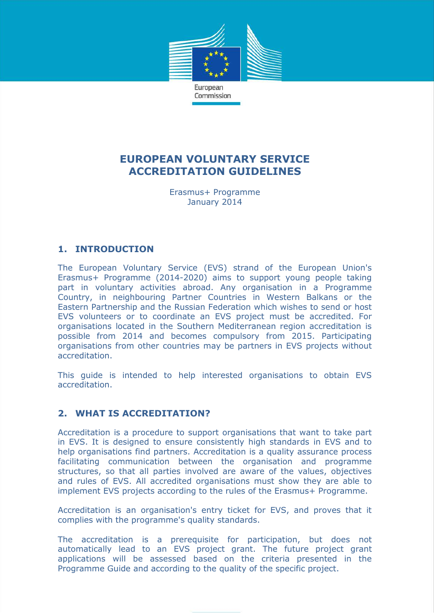

# **EUROPEAN VOLUNTARY SERVICE ACCREDITATION GUIDELINES**

Erasmus+ Programme January 2014

## **1. INTRODUCTION**

The European Voluntary Service (EVS) strand of the European Union's Erasmus+ Programme (2014-2020) aims to support young people taking part in voluntary activities abroad. Any organisation in a Programme Country, in neighbouring Partner Countries in Western Balkans or the Eastern Partnership and the Russian Federation which wishes to send or host EVS volunteers or to coordinate an EVS project must be accredited. For organisations located in the Southern Mediterranean region accreditation is possible from 2014 and becomes compulsory from 2015. Participating organisations from other countries may be partners in EVS projects without accreditation.

This guide is intended to help interested organisations to obtain EVS accreditation.

## **2. WHAT IS ACCREDITATION?**

Accreditation is a procedure to support organisations that want to take part in EVS. It is designed to ensure consistently high standards in EVS and to help organisations find partners. Accreditation is a quality assurance process facilitating communication between the organisation and programme structures, so that all parties involved are aware of the values, objectives and rules of EVS. All accredited organisations must show they are able to implement EVS projects according to the rules of the Erasmus+ Programme.

Accreditation is an organisation's entry ticket for EVS, and proves that it complies with the programme's quality standards.

The accreditation is a prerequisite for participation, but does not automatically lead to an EVS project grant. The future project grant applications will be assessed based on the criteria presented in the Programme Guide and according to the quality of the specific project.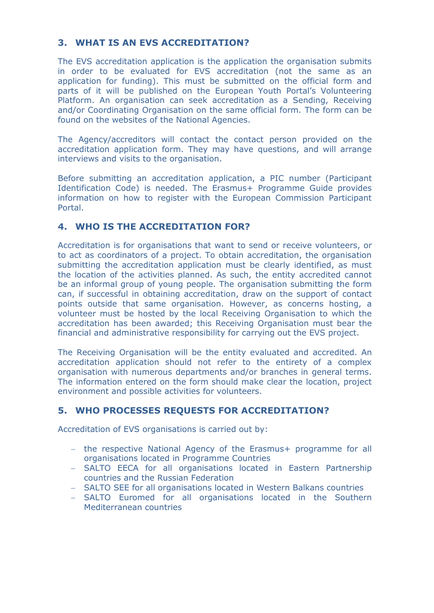# **3. WHAT IS AN EVS ACCREDITATION?**

The EVS accreditation application is the application the organisation submits in order to be evaluated for EVS accreditation (not the same as an application for funding). This must be submitted on the official form and parts of it will be published on the European Youth Portal's Volunteering Platform. An organisation can seek accreditation as a Sending, Receiving and/or Coordinating Organisation on the same official form. The form can be found on the websites of the National Agencies.

The Agency/accreditors will contact the contact person provided on the accreditation application form. They may have questions, and will arrange interviews and visits to the organisation.

Before submitting an accreditation application, a PIC number (Participant Identification Code) is needed. The Erasmus+ Programme Guide provides information on how to register with the European Commission Participant Portal.

#### **4. WHO IS THE ACCREDITATION FOR?**

Accreditation is for organisations that want to send or receive volunteers, or to act as coordinators of a project. To obtain accreditation, the organisation submitting the accreditation application must be clearly identified, as must the location of the activities planned. As such, the entity accredited cannot be an informal group of young people. The organisation submitting the form can, if successful in obtaining accreditation, draw on the support of contact points outside that same organisation. However, as concerns hosting, a volunteer must be hosted by the local Receiving Organisation to which the accreditation has been awarded; this Receiving Organisation must bear the financial and administrative responsibility for carrying out the EVS project.

The Receiving Organisation will be the entity evaluated and accredited. An accreditation application should not refer to the entirety of a complex organisation with numerous departments and/or branches in general terms. The information entered on the form should make clear the location, project environment and possible activities for volunteers.

## **5. WHO PROCESSES REQUESTS FOR ACCREDITATION?**

Accreditation of EVS organisations is carried out by:

- the respective National Agency of the Erasmus+ programme for all organisations located in Programme Countries
- SALTO EECA for all organisations located in Eastern Partnership countries and the Russian Federation
- SALTO SEE for all organisations located in Western Balkans countries
- SALTO Euromed for all organisations located in the Southern Mediterranean countries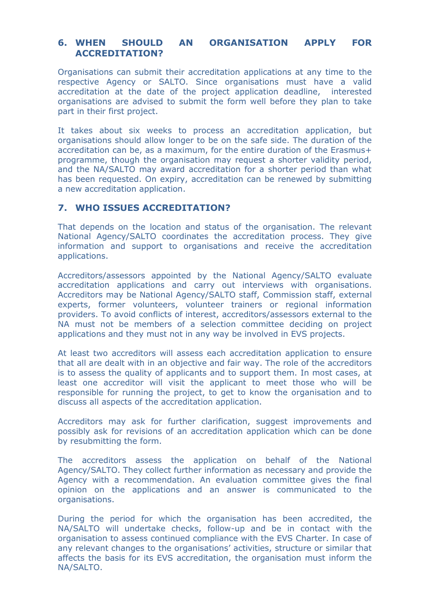## **6. WHEN SHOULD AN ORGANISATION APPLY FOR ACCREDITATION?**

Organisations can submit their accreditation applications at any time to the respective Agency or SALTO. Since organisations must have a valid accreditation at the date of the project application deadline, interested organisations are advised to submit the form well before they plan to take part in their first project.

It takes about six weeks to process an accreditation application, but organisations should allow longer to be on the safe side. The duration of the accreditation can be, as a maximum, for the entire duration of the Erasmus+ programme, though the organisation may request a shorter validity period, and the NA/SALTO may award accreditation for a shorter period than what has been requested. On expiry, accreditation can be renewed by submitting a new accreditation application.

#### **7. WHO ISSUES ACCREDITATION?**

That depends on the location and status of the organisation. The relevant National Agency/SALTO coordinates the accreditation process. They give information and support to organisations and receive the accreditation applications.

Accreditors/assessors appointed by the National Agency/SALTO evaluate accreditation applications and carry out interviews with organisations. Accreditors may be National Agency/SALTO staff, Commission staff, external experts, former volunteers, volunteer trainers or regional information providers. To avoid conflicts of interest, accreditors/assessors external to the NA must not be members of a selection committee deciding on project applications and they must not in any way be involved in EVS projects.

At least two accreditors will assess each accreditation application to ensure that all are dealt with in an objective and fair way. The role of the accreditors is to assess the quality of applicants and to support them. In most cases, at least one accreditor will visit the applicant to meet those who will be responsible for running the project, to get to know the organisation and to discuss all aspects of the accreditation application.

Accreditors may ask for further clarification, suggest improvements and possibly ask for revisions of an accreditation application which can be done by resubmitting the form.

The accreditors assess the application on behalf of the National Agency/SALTO. They collect further information as necessary and provide the Agency with a recommendation. An evaluation committee gives the final opinion on the applications and an answer is communicated to the organisations.

During the period for which the organisation has been accredited, the NA/SALTO will undertake checks, follow-up and be in contact with the organisation to assess continued compliance with the EVS Charter. In case of any relevant changes to the organisations' activities, structure or similar that affects the basis for its EVS accreditation, the organisation must inform the NA/SALTO.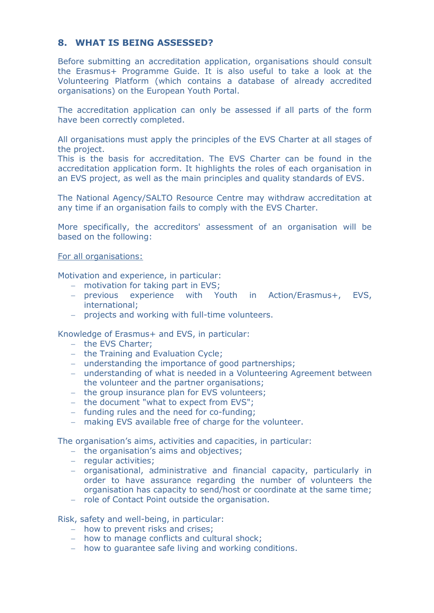## **8. WHAT IS BEING ASSESSED?**

Before submitting an accreditation application, organisations should consult the Erasmus+ Programme Guide. It is also useful to take a look at the Volunteering Platform (which contains a database of already accredited organisations) on the European Youth Portal.

The accreditation application can only be assessed if all parts of the form have been correctly completed.

All organisations must apply the principles of the EVS Charter at all stages of the project.

This is the basis for accreditation. The EVS Charter can be found in the accreditation application form. It highlights the roles of each organisation in an EVS project, as well as the main principles and quality standards of EVS.

The National Agency/SALTO Resource Centre may withdraw accreditation at any time if an organisation fails to comply with the EVS Charter.

More specifically, the accreditors' assessment of an organisation will be based on the following:

For all organisations:

Motivation and experience, in particular:

- motivation for taking part in EVS;
- previous experience with Youth in Action/Erasmus+, EVS, international;
- projects and working with full-time volunteers.

Knowledge of Erasmus+ and EVS, in particular:

- the EVS Charter:
- $-$  the Training and Evaluation Cycle;
- understanding the importance of good partnerships;
- understanding of what is needed in a Volunteering Agreement between the volunteer and the partner organisations;
- the group insurance plan for EVS volunteers;
- the document "what to expect from EVS";
- funding rules and the need for co-funding;
- making EVS available free of charge for the volunteer.

The organisation's aims, activities and capacities, in particular:

- the organisation's aims and objectives;
- regular activities;
- organisational, administrative and financial capacity, particularly in order to have assurance regarding the number of volunteers the organisation has capacity to send/host or coordinate at the same time;
- role of Contact Point outside the organisation.

Risk, safety and well-being, in particular:

- how to prevent risks and crises;
- how to manage conflicts and cultural shock;
- how to quarantee safe living and working conditions.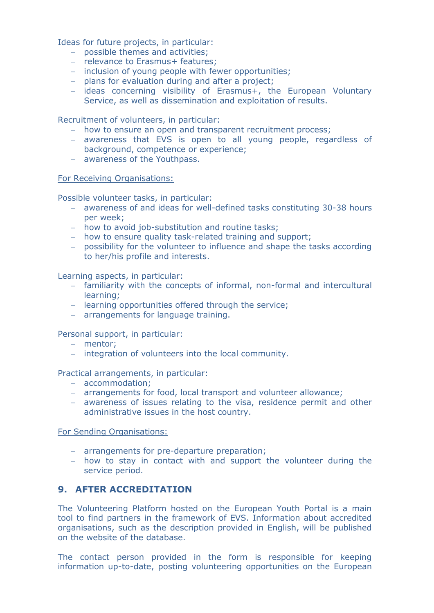Ideas for future projects, in particular:

- possible themes and activities;
- relevance to Erasmus+ features:
- inclusion of young people with fewer opportunities;
- plans for evaluation during and after a project;
- ideas concerning visibility of Erasmus+, the European Voluntary Service, as well as dissemination and exploitation of results.

Recruitment of volunteers, in particular:

- how to ensure an open and transparent recruitment process;
- awareness that EVS is open to all young people, regardless of background, competence or experience;
- awareness of the Youthpass.

For Receiving Organisations:

Possible volunteer tasks, in particular:

- awareness of and ideas for well-defined tasks constituting 30-38 hours per week;
- how to avoid job-substitution and routine tasks;
- how to ensure quality task-related training and support;
- possibility for the volunteer to influence and shape the tasks according to her/his profile and interests.

Learning aspects, in particular:

- familiarity with the concepts of informal, non-formal and intercultural learning;
- learning opportunities offered through the service;
- arrangements for language training.

Personal support, in particular:

- mentor;
- integration of volunteers into the local community.

Practical arrangements, in particular:

- accommodation;
- arrangements for food, local transport and volunteer allowance;
- awareness of issues relating to the visa, residence permit and other administrative issues in the host country.

For Sending Organisations:

- arrangements for pre-departure preparation;
- how to stay in contact with and support the volunteer during the service period.

## **9. AFTER ACCREDITATION**

The Volunteering Platform hosted on the European Youth Portal is a main tool to find partners in the framework of EVS. Information about accredited organisations, such as the description provided in English, will be published on the website of the database.

The contact person provided in the form is responsible for keeping information up-to-date, posting volunteering opportunities on the European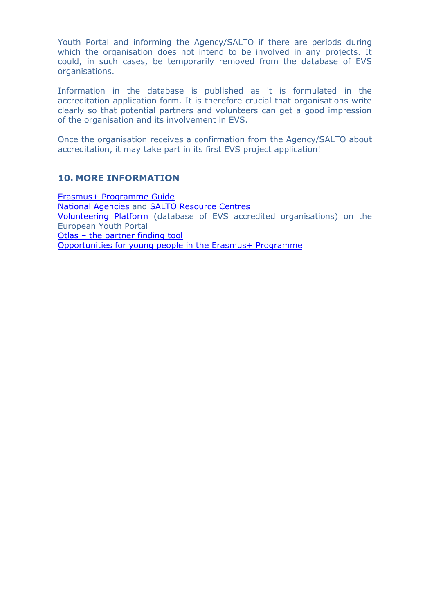Youth Portal and informing the Agency/SALTO if there are periods during which the organisation does not intend to be involved in any projects. It could, in such cases, be temporarily removed from the database of EVS organisations.

Information in the database is published as it is formulated in the accreditation application form. It is therefore crucial that organisations write clearly so that potential partners and volunteers can get a good impression of the organisation and its involvement in EVS.

Once the organisation receives a confirmation from the Agency/SALTO about accreditation, it may take part in its first EVS project application!

#### **10. MORE INFORMATION**

Erasmus+ [Programme Guide](http://ec.europa.eu/programmes/erasmus-plus/documents/erasmus-plus-programme-guide_en.pdf) [National Agencies](http://ec.europa.eu/programmes/erasmus-plus/national-agencies_en.htm) and [SALTO Resource Centres](https://www.salto-youth.net/rc/) [Volunteering Platform](http://europa.eu/youth/evs_database) (database of EVS accredited organisations) on the European Youth Portal Otlas – [the partner finding tool](https://www.salto-youth.net/tools/otlas-partner-finding/) [Opportunities for young people in the Erasmus+ Programme](http://ec.europa.eu/youth/programme/mobility/youth_people_en.htm)